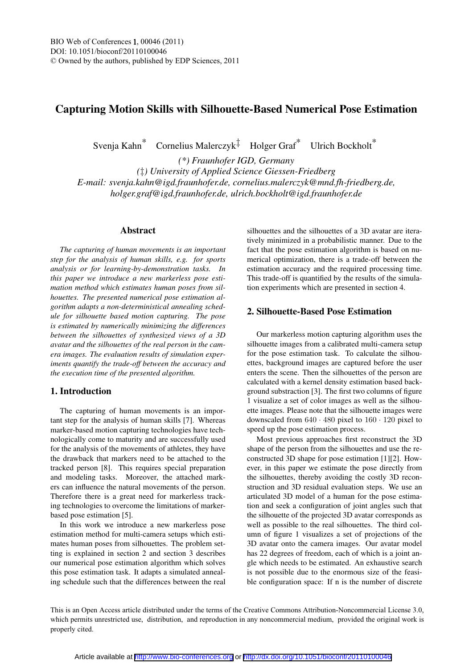# Capturing Motion Skills with Silhouette-Based Numerical Pose Estimation

Svenja Kahn\* Cornelius Malerczyk<sup> $\ddagger$ </sup> Holger Graf<sup>\*</sup> Ulrich Bockholt<sup>\*</sup>

*(\*) Fraunhofer IGD, Germany (*‡*) University of Applied Science Giessen-Friedberg E-mail: svenja.kahn@igd.fraunhofer.de, cornelius.malerczyk@mnd.fh-friedberg.de, holger.graf@igd.fraunhofer.de, ulrich.bockholt@igd.fraunhofer.de*

#### Abstract

*The capturing of human movements is an important step for the analysis of human skills, e.g. for sports analysis or for learning-by-demonstration tasks. In this paper we introduce a new markerless pose estimation method which estimates human poses from silhouettes. The presented numerical pose estimation algorithm adapts a non-deterministical annealing schedule for silhouette based motion capturing. The pose is estimated by numerically minimizing the differences between the silhouettes of synthesized views of a 3D avatar and the silhouettes of the real person in the camera images. The evaluation results of simulation experiments quantify the trade-off between the accuracy and the execution time of the presented algorithm.*

# 1. Introduction

The capturing of human movements is an important step for the analysis of human skills [7]. Whereas marker-based motion capturing technologies have technologically come to maturity and are successfully used for the analysis of the movements of athletes, they have the drawback that markers need to be attached to the tracked person [8]. This requires special preparation and modeling tasks. Moreover, the attached markers can influence the natural movements of the person. Therefore there is a great need for markerless tracking technologies to overcome the limitations of markerbased pose estimation [5].

In this work we introduce a new markerless pose estimation method for multi-camera setups which estimates human poses from silhouettes. The problem setting is explained in section 2 and section 3 describes our numerical pose estimation algorithm which solves this pose estimation task. It adapts a simulated annealing schedule such that the differences between the real

silhouettes and the silhouettes of a 3D avatar are iteratively minimized in a probabilistic manner. Due to the fact that the pose estimation algorithm is based on numerical optimization, there is a trade-off between the estimation accuracy and the required processing time. This trade-off is quantified by the results of the simulation experiments which are presented in section 4.

## 2. Silhouette-Based Pose Estimation

Our markerless motion capturing algorithm uses the silhouette images from a calibrated multi-camera setup for the pose estimation task. To calculate the silhouettes, background images are captured before the user enters the scene. Then the silhouettes of the person are calculated with a kernel density estimation based background substraction [3]. The first two columns of figure 1 visualize a set of color images as well as the silhouette images. Please note that the silhouette images were downscaled from 640 · 480 pixel to 160 · 120 pixel to speed up the pose estimation process.

Most previous approaches first reconstruct the 3D shape of the person from the silhouettes and use the reconstructed 3D shape for pose estimation [1][2]. However, in this paper we estimate the pose directly from the silhouettes, thereby avoiding the costly 3D reconstruction and 3D residual evaluation steps. We use an articulated 3D model of a human for the pose estimation and seek a configuration of joint angles such that the silhouette of the projected 3D avatar corresponds as well as possible to the real silhouettes. The third column of figure 1 visualizes a set of projections of the 3D avatar onto the camera images. Our avatar model has 22 degrees of freedom, each of which is a joint angle which needs to be estimated. An exhaustive search is not possible due to the enormous size of the feasible configuration space: If n is the number of discrete

This is an Open Access article distributed under the terms of the Creative Commons Attribution-Noncommercial License 3.0, which permits unrestricted use, distribution, and reproduction in any noncommercial medium, provided the original work is properly cited.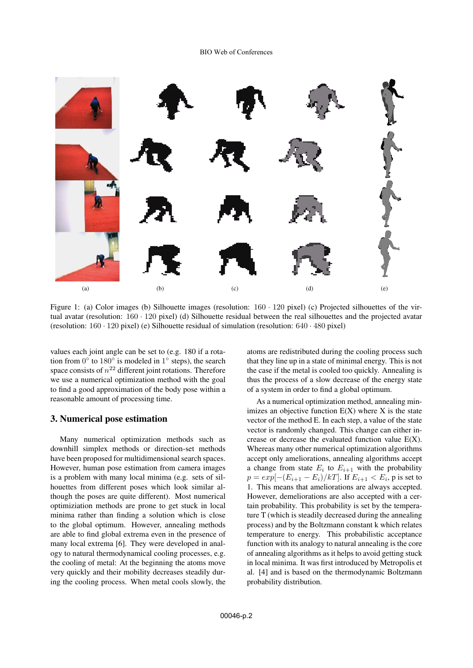

Figure 1: (a) Color images (b) Silhouette images (resolution:  $160 \cdot 120$  pixel) (c) Projected silhouettes of the virtual avatar (resolution: 160 · 120 pixel) (d) Silhouette residual between the real silhouettes and the projected avatar (resolution: 160 · 120 pixel) (e) Silhouette residual of simulation (resolution: 640 · 480 pixel)

values each joint angle can be set to (e.g. 180 if a rotation from  $0°$  to 180° is modeled in  $1°$  steps), the search space consists of  $n^{22}$  different joint rotations. Therefore we use a numerical optimization method with the goal to find a good approximation of the body pose within a reasonable amount of processing time.

#### 3. Numerical pose estimation

Many numerical optimization methods such as downhill simplex methods or direction-set methods have been proposed for multidimensional search spaces. However, human pose estimation from camera images is a problem with many local minima (e.g. sets of silhouettes from different poses which look similar although the poses are quite different). Most numerical optimiziation methods are prone to get stuck in local minima rather than finding a solution which is close to the global optimum. However, annealing methods are able to find global extrema even in the presence of many local extrema [6]. They were developed in analogy to natural thermodynamical cooling processes, e.g. the cooling of metal: At the beginning the atoms move very quickly and their mobility decreases steadily during the cooling process. When metal cools slowly, the

atoms are redistributed during the cooling process such that they line up in a state of minimal energy. This is not the case if the metal is cooled too quickly. Annealing is thus the process of a slow decrease of the energy state of a system in order to find a global optimum.

As a numerical optimization method, annealing minimizes an objective function  $E(X)$  where X is the state vector of the method E. In each step, a value of the state vector is randomly changed. This change can either increase or decrease the evaluated function value E(X). Whereas many other numerical optimization algorithms accept only ameliorations, annealing algorithms accept a change from state  $E_i$  to  $E_{i+1}$  with the probability  $p = exp[-(E_{i+1} - E_i)/kT]$ . If  $E_{i+1} < E_i$ , p is set to 1. This means that ameliorations are always accepted. However, demeliorations are also accepted with a certain probability. This probability is set by the temperature T (which is steadily decreased during the annealing process) and by the Boltzmann constant k which relates temperature to energy. This probabilistic acceptance function with its analogy to natural annealing is the core of annealing algorithms as it helps to avoid getting stuck in local minima. It was first introduced by Metropolis et al. [4] and is based on the thermodynamic Boltzmann probability distribution.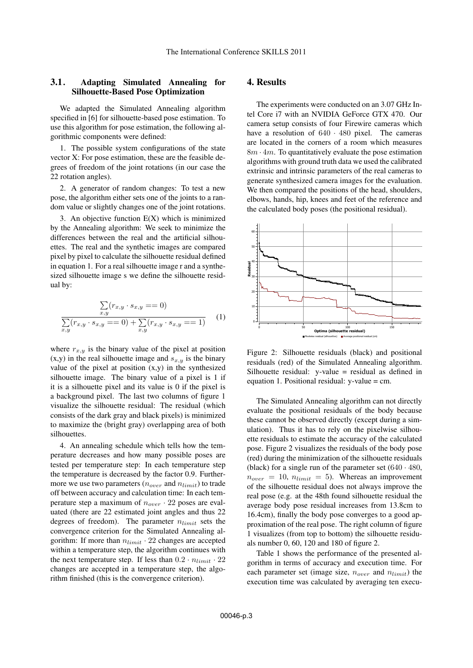#### 3.1. Adapting Simulated Annealing for Silhouette-Based Pose Optimization

We adapted the Simulated Annealing algorithm specified in [6] for silhouette-based pose estimation. To use this algorithm for pose estimation, the following algorithmic components were defined:

1. The possible system configurations of the state vector X: For pose estimation, these are the feasible degrees of freedom of the joint rotations (in our case the 22 rotation angles).

2. A generator of random changes: To test a new pose, the algorithm either sets one of the joints to a random value or slightly changes one of the joint rotations.

3. An objective function  $E(X)$  which is minimized by the Annealing algorithm: We seek to minimize the differences between the real and the artificial silhouettes. The real and the synthetic images are compared pixel by pixel to calculate the silhouette residual defined in equation 1. For a real silhouette image r and a synthesized silhouette image s we define the silhouette residual by:

$$
\sum_{x,y} (r_{x,y} \cdot s_{x,y} = 0)
$$
\n
$$
\sum_{x,y} (r_{x,y} \cdot s_{x,y} = 0) + \sum_{x,y} (r_{x,y} \cdot s_{x,y} = 1)
$$
\n(1)

where  $r_{x,y}$  is the binary value of the pixel at position  $(x,y)$  in the real silhouette image and  $s_{x,y}$  is the binary value of the pixel at position (x,y) in the synthesized silhouette image. The binary value of a pixel is 1 if it is a silhouette pixel and its value is 0 if the pixel is a background pixel. The last two columns of figure 1 visualize the silhouette residual: The residual (which consists of the dark gray and black pixels) is minimized to maximize the (bright gray) overlapping area of both silhouettes.

4. An annealing schedule which tells how the temperature decreases and how many possible poses are tested per temperature step: In each temperature step the temperature is decreased by the factor 0.9. Furthermore we use two parameters ( $n_{over}$  and  $n_{limit}$ ) to trade off between accuracy and calculation time: In each temperature step a maximum of  $n_{over} \cdot 22$  poses are evaluated (there are 22 estimated joint angles and thus 22 degrees of freedom). The parameter  $n_{limit}$  sets the convergence criterion for the Simulated Annealing algorithm: If more than  $n_{limit} \cdot 22$  changes are accepted within a temperature step, the algorithm continues with the next temperature step. If less than  $0.2 \cdot n_{limit} \cdot 22$ changes are accepted in a temperature step, the algorithm finished (this is the convergence criterion).

# 4. Results

The experiments were conducted on an 3.07 GHz Intel Core i7 with an NVIDIA GeForce GTX 470. Our camera setup consists of four Firewire cameras which have a resolution of  $640 \cdot 480$  pixel. The cameras are located in the corners of a room which measures  $8m \cdot 4m$ . To quantitatively evaluate the pose estimation algorithms with ground truth data we used the calibrated extrinsic and intrinsic parameters of the real cameras to generate synthesized camera images for the evaluation. We then compared the positions of the head, shoulders, elbows, hands, hip, knees and feet of the reference and the calculated body poses (the positional residual).



Figure 2: Silhouette residuals (black) and positional residuals (red) of the Simulated Annealing algorithm. Silhouette residual:  $v$ -value = residual as defined in equation 1. Positional residual: y-value = cm.

The Simulated Annealing algorithm can not directly evaluate the positional residuals of the body because these cannot be observed directly (except during a simulation). Thus it has to rely on the pixelwise silhouette residuals to estimate the accuracy of the calculated pose. Figure 2 visualizes the residuals of the body pose (red) during the minimization of the silhouette residuals (black) for a single run of the parameter set  $(640 \cdot 480,$  $n_{over} = 10$ ,  $n_{limit} = 5$ ). Whereas an improvement of the silhouette residual does not always improve the real pose (e.g. at the 48th found silhouette residual the average body pose residual increases from 13.8cm to 16.4cm), finally the body pose converges to a good approximation of the real pose. The right column of figure 1 visualizes (from top to bottom) the silhouette residuals number 0, 60, 120 and 180 of figure 2.

Table 1 shows the performance of the presented algorithm in terms of accuracy and execution time. For each parameter set (image size,  $n_{over}$  and  $n_{limit}$ ) the execution time was calculated by averaging ten execu-